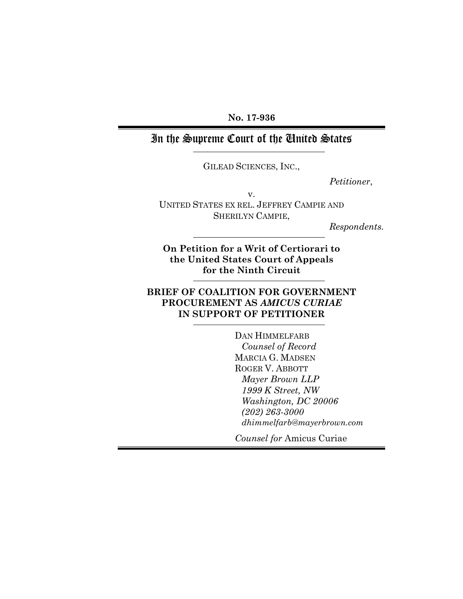**No. 17-936**

# In the Supreme Court of the United States

GILEAD SCIENCES, INC.,

*Petitioner*,

v.

UNITED STATES EX REL. JEFFREY CAMPIE AND SHERILYN CAMPIE,

*Respondents.*

**On Petition for a Writ of Certiorari to the United States Court of Appeals for the Ninth Circuit**

### **BRIEF OF COALITION FOR GOVERNMENT PROCUREMENT AS** *AMICUS CURIAE* **IN SUPPORT OF PETITIONER**

DAN HIMMELFARB *Counsel of Record* MARCIA G. MADSEN ROGER V. ABBOTT *Mayer Brown LLP 1999 K Street, NW Washington, DC 20006 (202) 263-3000 dhimmelfarb@mayerbrown.com*

*Counsel for* Amicus Curiae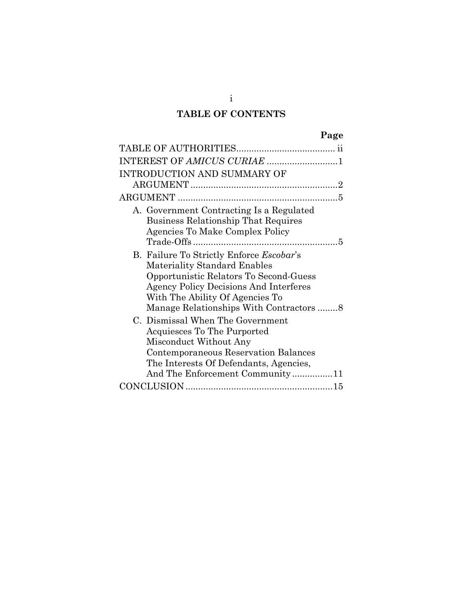# **TABLE OF CONTENTS**

| INTEREST OF AMICUS CURIAE 1                                                                                                                                                                                                                                   |
|---------------------------------------------------------------------------------------------------------------------------------------------------------------------------------------------------------------------------------------------------------------|
| INTRODUCTION AND SUMMARY OF                                                                                                                                                                                                                                   |
|                                                                                                                                                                                                                                                               |
|                                                                                                                                                                                                                                                               |
| A. Government Contracting Is a Regulated<br><b>Business Relationship That Requires</b><br>Agencies To Make Complex Policy<br>5                                                                                                                                |
| B. Failure To Strictly Enforce <i>Escobar's</i><br><b>Materiality Standard Enables</b><br>Opportunistic Relators To Second-Guess<br><b>Agency Policy Decisions And Interferes</b><br>With The Ability Of Agencies To<br>Manage Relationships With Contractors |
| C. Dismissal When The Government<br>Acquiesces To The Purported<br>Misconduct Without Any<br>Contemporaneous Reservation Balances<br>The Interests Of Defendants, Agencies,<br>And The Enforcement Community11                                                |
|                                                                                                                                                                                                                                                               |

i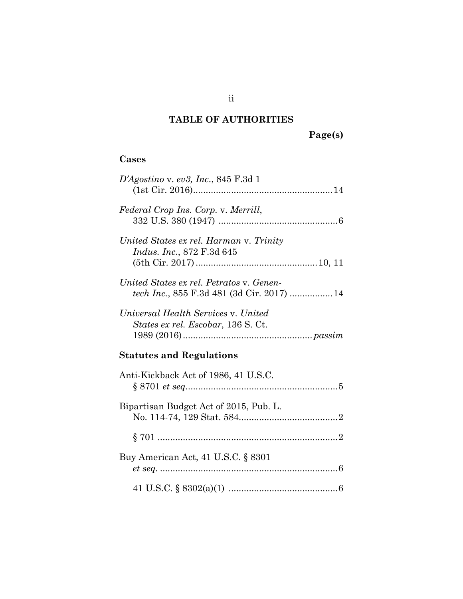# <span id="page-2-0"></span>**TABLE OF AUTHORITIES**

**Page(s)**

### **Cases**

| $D'Agostino$ v. ev3, Inc., 845 F.3d 1                                                 |
|---------------------------------------------------------------------------------------|
| Federal Crop Ins. Corp. v. Merrill,                                                   |
| United States ex rel. Harman v. Trinity<br><i>Indus. Inc.</i> , 872 F.3d 645          |
| United States ex rel. Petratos v. Genen-<br>tech Inc., 855 F.3d 481 (3d Cir. 2017) 14 |
| Universal Health Services v. United<br>States ex rel. Escobar, 136 S. Ct.             |
| <b>Statutes and Regulations</b>                                                       |
| Anti-Kickback Act of 1986, 41 U.S.C.                                                  |
| Bipartisan Budget Act of 2015, Pub. L.                                                |
|                                                                                       |
| Buy American Act, 41 U.S.C. § 8301                                                    |
|                                                                                       |

ii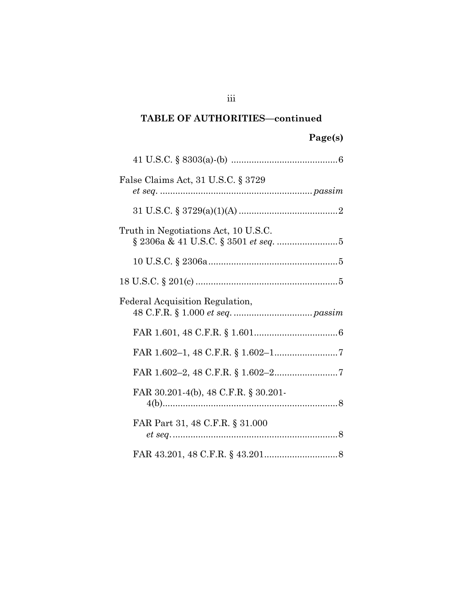### **TABLE OF AUTHORITIES—continued**

# **Page(s)**

| False Claims Act, 31 U.S.C. § 3729               |  |
|--------------------------------------------------|--|
|                                                  |  |
|                                                  |  |
| Truth in Negotiations Act, 10 U.S.C.             |  |
|                                                  |  |
|                                                  |  |
| Federal Acquisition Regulation,                  |  |
|                                                  |  |
|                                                  |  |
|                                                  |  |
| FAR 30.201-4(b), 48 C.F.R. § 30.201-             |  |
| FAR Part 31, 48 C.F.R. § 31.000<br>$et\ seq. 38$ |  |
|                                                  |  |

iii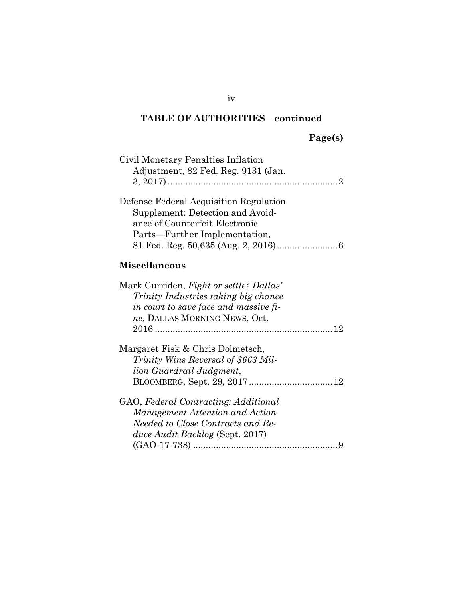## **TABLE OF AUTHORITIES—continued**

| Civil Monetary Penalties Inflation<br>Adjustment, 82 Fed. Reg. 9131 (Jan.                                                                                 |
|-----------------------------------------------------------------------------------------------------------------------------------------------------------|
| Defense Federal Acquisition Regulation<br>Supplement: Detection and Avoid-<br>ance of Counterfeit Electronic<br>Parts-Further Implementation,             |
| <b>Miscellaneous</b>                                                                                                                                      |
| Mark Curriden, Fight or settle? Dallas'<br>Trinity Industries taking big chance<br>in court to save face and massive fi-<br>ne, DALLAS MORNING NEWS, Oct. |
| Margaret Fisk & Chris Dolmetsch,<br>Trinity Wins Reversal of \$663 Mil-<br>lion Guardrail Judgment,                                                       |
| GAO, Federal Contracting: Additional<br>Management Attention and Action<br>Needed to Close Contracts and Re-<br>duce Audit Backlog (Sept. 2017)           |

iv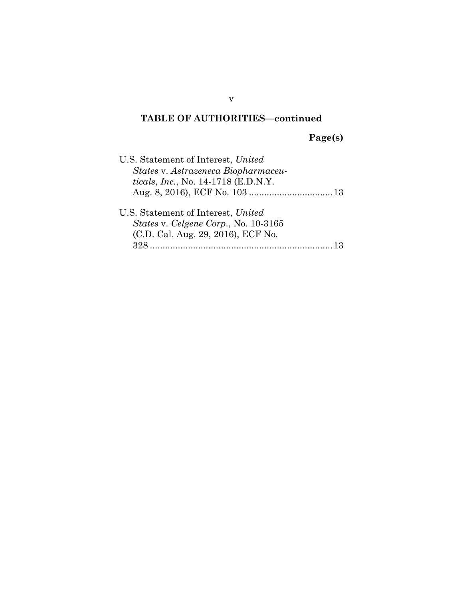## **TABLE OF AUTHORITIES—continued**

**Page(s)**

| U.S. Statement of Interest, United                                                                                             |
|--------------------------------------------------------------------------------------------------------------------------------|
| States v. Astrazeneca Biopharmaceu-                                                                                            |
| ticals, Inc., No. 14-1718 (E.D.N.Y.                                                                                            |
|                                                                                                                                |
| U.S. Statement of Interest, United<br><i>States v. Celgene Corp., No. 10-3165</i><br>(C.D. Cal. Aug. 29, 2016), ECF No.<br>328 |

v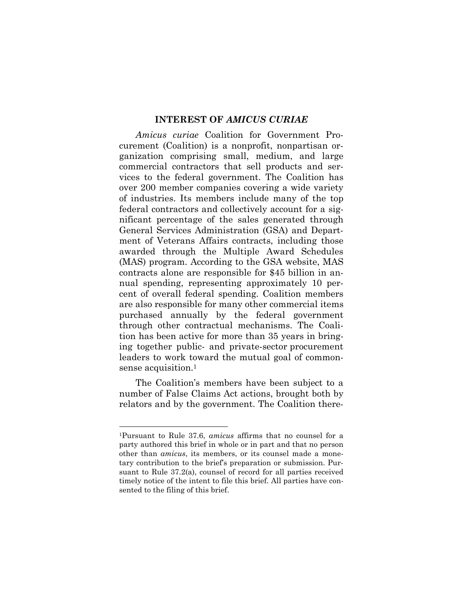#### <span id="page-6-0"></span>**INTEREST OF** *AMICUS CURIAE*

*Amicus curiae* Coalition for Government Procurement (Coalition) is a nonprofit, nonpartisan organization comprising small, medium, and large commercial contractors that sell products and services to the federal government. The Coalition has over 200 member companies covering a wide variety of industries. Its members include many of the top federal contractors and collectively account for a significant percentage of the sales generated through General Services Administration (GSA) and Department of Veterans Affairs contracts, including those awarded through the Multiple Award Schedules (MAS) program. According to the GSA website, MAS contracts alone are responsible for \$45 billion in annual spending, representing approximately 10 percent of overall federal spending. Coalition members are also responsible for many other commercial items purchased annually by the federal government through other contractual mechanisms. The Coalition has been active for more than 35 years in bringing together public- and private-sector procurement leaders to work toward the mutual goal of commonsense acquisition.[1](#page-6-1)

The Coalition's members have been subject to a number of False Claims Act actions, brought both by relators and by the government. The Coalition there-

<span id="page-6-1"></span><sup>1</sup>Pursuant to Rule 37.6, *amicus* affirms that no counsel for a party authored this brief in whole or in part and that no person other than *amicus*, its members, or its counsel made a monetary contribution to the brief's preparation or submission. Pursuant to Rule 37.2(a), counsel of record for all parties received timely notice of the intent to file this brief. All parties have consented to the filing of this brief.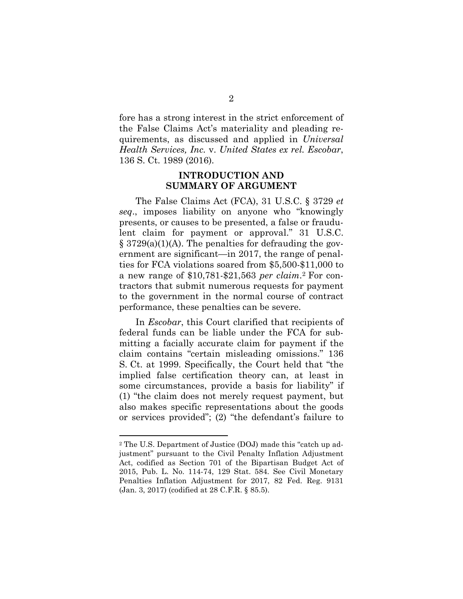fore has a strong interest in the strict enforcement of the False Claims Act's materiality and pleading requirements, as discussed and applied in *Universal Health Services, Inc.* v. *United States ex rel. Escobar*, 136 S. Ct. 1989 (2016).

#### <span id="page-7-0"></span>**INTRODUCTION AND SUMMARY OF ARGUMENT**

The False Claims Act (FCA), 31 U.S.C. § 3729 *et seq*., imposes liability on anyone who "knowingly presents, or causes to be presented, a false or fraudulent claim for payment or approval." 31 U.S.C.  $\S 3729(a)(1)(A)$ . The penalties for defrauding the government are significant—in 2017, the range of penalties for FCA violations soared from \$5,500-\$11,000 to a new range of \$10,781-\$21,563 *per claim*. [2](#page-7-1) For contractors that submit numerous requests for payment to the government in the normal course of contract performance, these penalties can be severe.

In *Escobar*, this Court clarified that recipients of federal funds can be liable under the FCA for submitting a facially accurate claim for payment if the claim contains "certain misleading omissions." 136 S. Ct. at 1999. Specifically, the Court held that "the implied false certification theory can, at least in some circumstances, provide a basis for liability" if (1) "the claim does not merely request payment, but also makes specific representations about the goods or services provided"; (2) "the defendant's failure to

<span id="page-7-1"></span><sup>2</sup> The U.S. Department of Justice (DOJ) made this "catch up adjustment" pursuant to the Civil Penalty Inflation Adjustment Act, codified as Section 701 of the Bipartisan Budget Act of 2015, Pub. L. No. 114-74, 129 Stat. 584. See Civil Monetary Penalties Inflation Adjustment for 2017, 82 Fed. Reg. 9131 (Jan. 3, 2017) (codified at 28 C.F.R. § 85.5).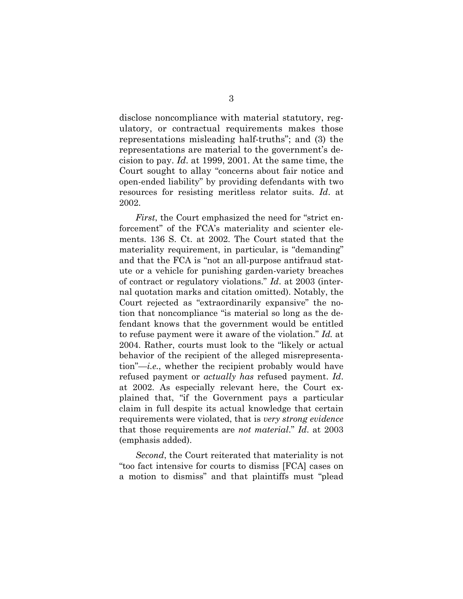disclose noncompliance with material statutory, regulatory, or contractual requirements makes those representations misleading half-truths"; and (3) the representations are material to the government's decision to pay. *Id*. at 1999, 2001. At the same time, the Court sought to allay "concerns about fair notice and open-ended liability" by providing defendants with two resources for resisting meritless relator suits. *Id*. at 2002.

*First*, the Court emphasized the need for "strict enforcement" of the FCA's materiality and scienter elements. 136 S. Ct. at 2002. The Court stated that the materiality requirement, in particular, is "demanding" and that the FCA is "not an all-purpose antifraud statute or a vehicle for punishing garden-variety breaches of contract or regulatory violations." *Id*. at 2003 (internal quotation marks and citation omitted). Notably, the Court rejected as "extraordinarily expansive" the notion that noncompliance "is material so long as the defendant knows that the government would be entitled to refuse payment were it aware of the violation." *Id.* at 2004. Rather, courts must look to the "likely or actual behavior of the recipient of the alleged misrepresentation"—*i.e.*, whether the recipient probably would have refused payment or *actually has* refused payment. *Id*. at 2002. As especially relevant here, the Court explained that, "if the Government pays a particular claim in full despite its actual knowledge that certain requirements were violated, that is *very strong evidence* that those requirements are *not material*." *Id*. at 2003 (emphasis added).

*Second*, the Court reiterated that materiality is not "too fact intensive for courts to dismiss [FCA] cases on a motion to dismiss" and that plaintiffs must "plead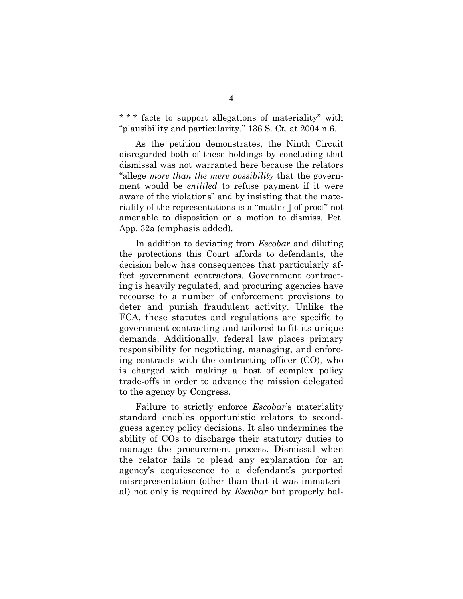\* \* \* facts to support allegations of materiality" with "plausibility and particularity." 136 S. Ct. at 2004 n.6.

As the petition demonstrates, the Ninth Circuit disregarded both of these holdings by concluding that dismissal was not warranted here because the relators "allege *more than the mere possibility* that the government would be *entitled* to refuse payment if it were aware of the violations" and by insisting that the materiality of the representations is a "matter[] of proof" not amenable to disposition on a motion to dismiss. Pet. App. 32a (emphasis added).

In addition to deviating from *Escobar* and diluting the protections this Court affords to defendants, the decision below has consequences that particularly affect government contractors. Government contracting is heavily regulated, and procuring agencies have recourse to a number of enforcement provisions to deter and punish fraudulent activity. Unlike the FCA, these statutes and regulations are specific to government contracting and tailored to fit its unique demands. Additionally, federal law places primary responsibility for negotiating, managing, and enforcing contracts with the contracting officer (CO), who is charged with making a host of complex policy trade-offs in order to advance the mission delegated to the agency by Congress.

Failure to strictly enforce *Escobar*'s materiality standard enables opportunistic relators to secondguess agency policy decisions. It also undermines the ability of COs to discharge their statutory duties to manage the procurement process. Dismissal when the relator fails to plead any explanation for an agency's acquiescence to a defendant's purported misrepresentation (other than that it was immaterial) not only is required by *Escobar* but properly bal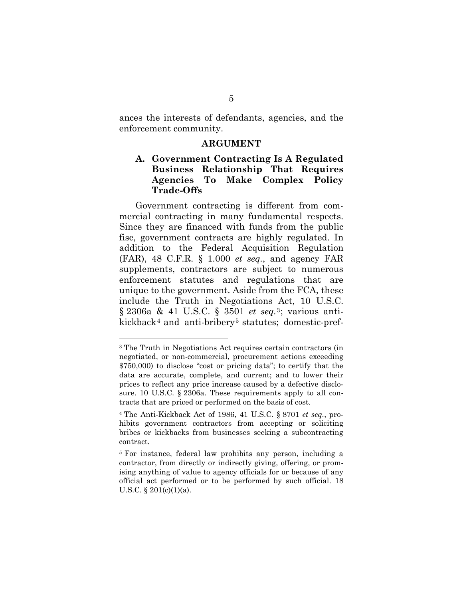ances the interests of defendants, agencies, and the enforcement community.

#### <span id="page-10-0"></span>**ARGUMENT**

#### <span id="page-10-1"></span>**A. Government Contracting Is A Regulated Business Relationship That Requires Agencies To Make Complex Policy Trade-Offs**

Government contracting is different from commercial contracting in many fundamental respects. Since they are financed with funds from the public fisc, government contracts are highly regulated. In addition to the Federal Acquisition Regulation (FAR), 48 C.F.R. § 1.000 *et seq.*, and agency FAR supplements, contractors are subject to numerous enforcement statutes and regulations that are unique to the government. Aside from the FCA, these include the Truth in Negotiations Act, 10 U.S.C. § 2306a & 41 U.S.C. § 3501 *et seq.*[3](#page-10-2); various anti-kickback<sup>[4](#page-10-3)</sup> and anti-bribery<sup>[5](#page-10-4)</sup> statutes; domestic-pref-

<span id="page-10-2"></span><sup>3</sup> The Truth in Negotiations Act requires certain contractors (in negotiated, or non-commercial, procurement actions exceeding \$750,000) to disclose "cost or pricing data"; to certify that the data are accurate, complete, and current; and to lower their prices to reflect any price increase caused by a defective disclosure. 10 U.S.C. § 2306a. These requirements apply to all contracts that are priced or performed on the basis of cost.

<span id="page-10-3"></span><sup>4</sup> The Anti-Kickback Act of 1986, 41 U.S.C. § 8701 *et seq.*, prohibits government contractors from accepting or soliciting bribes or kickbacks from businesses seeking a subcontracting contract.

<span id="page-10-4"></span><sup>5</sup> For instance, federal law prohibits any person, including a contractor, from directly or indirectly giving, offering, or promising anything of value to agency officials for or because of any official act performed or to be performed by such official. 18 U.S.C.  $\S$  201(c)(1)(a).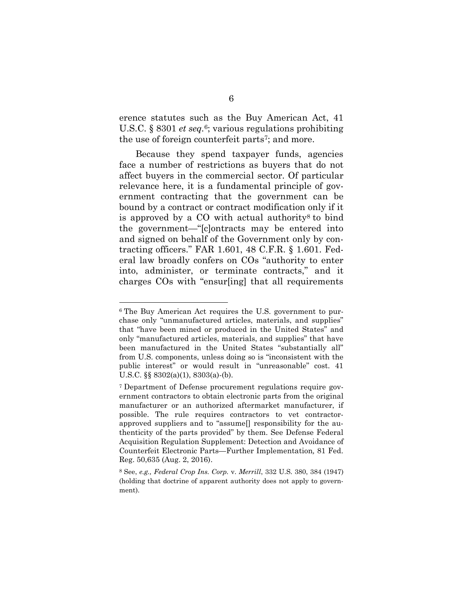erence statutes such as the Buy American Act, 41 U.S.C. § 8301 *et seq.*[6](#page-11-0); various regulations prohibiting the use of foreign counterfeit parts<sup>[7](#page-11-1)</sup>; and more.

Because they spend taxpayer funds, agencies face a number of restrictions as buyers that do not affect buyers in the commercial sector. Of particular relevance here, it is a fundamental principle of government contracting that the government can be bound by a contract or contract modification only if it is approved by a  $CO$  with actual authority<sup>[8](#page-11-2)</sup> to bind the government—"[c]ontracts may be entered into and signed on behalf of the Government only by contracting officers." FAR 1.601, 48 C.F.R. § 1.601. Federal law broadly confers on COs "authority to enter into, administer, or terminate contracts," and it charges COs with "ensur[ing] that all requirements

<span id="page-11-0"></span><sup>6</sup> The Buy American Act requires the U.S. government to purchase only "unmanufactured articles, materials, and supplies" that "have been mined or produced in the United States" and only "manufactured articles, materials, and supplies" that have been manufactured in the United States "substantially all" from U.S. components, unless doing so is "inconsistent with the public interest" or would result in "unreasonable" cost. 41 U.S.C.  $\S$ § 8302(a)(1), 8303(a)-(b).

<span id="page-11-1"></span><sup>7</sup> Department of Defense procurement regulations require government contractors to obtain electronic parts from the original manufacturer or an authorized aftermarket manufacturer, if possible. The rule requires contractors to vet contractorapproved suppliers and to "assume[] responsibility for the authenticity of the parts provided" by them. See Defense Federal Acquisition Regulation Supplement: Detection and Avoidance of Counterfeit Electronic Parts—Further Implementation*,* 81 Fed. Reg. 50,635 (Aug. 2, 2016).

<span id="page-11-2"></span><sup>8</sup> See, *e.g., Federal Crop Ins. Corp.* v. *Merrill*, 332 U.S. 380, 384 (1947) (holding that doctrine of apparent authority does not apply to government).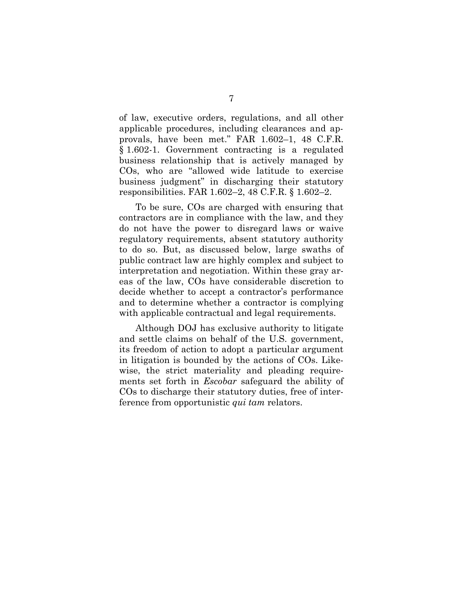of law, executive orders, regulations, and all other applicable procedures, including clearances and approvals, have been met." FAR 1.602–1, 48 C.F.R. § 1.602-1. Government contracting is a regulated business relationship that is actively managed by COs, who are "allowed wide latitude to exercise business judgment" in discharging their statutory responsibilities. FAR 1.602–2, 48 C.F.R. § 1.602–2.

To be sure, COs are charged with ensuring that contractors are in compliance with the law, and they do not have the power to disregard laws or waive regulatory requirements, absent statutory authority to do so. But, as discussed below, large swaths of public contract law are highly complex and subject to interpretation and negotiation. Within these gray areas of the law, COs have considerable discretion to decide whether to accept a contractor's performance and to determine whether a contractor is complying with applicable contractual and legal requirements.

Although DOJ has exclusive authority to litigate and settle claims on behalf of the U.S. government, its freedom of action to adopt a particular argument in litigation is bounded by the actions of COs. Likewise, the strict materiality and pleading requirements set forth in *Escobar* safeguard the ability of COs to discharge their statutory duties, free of interference from opportunistic *qui tam* relators.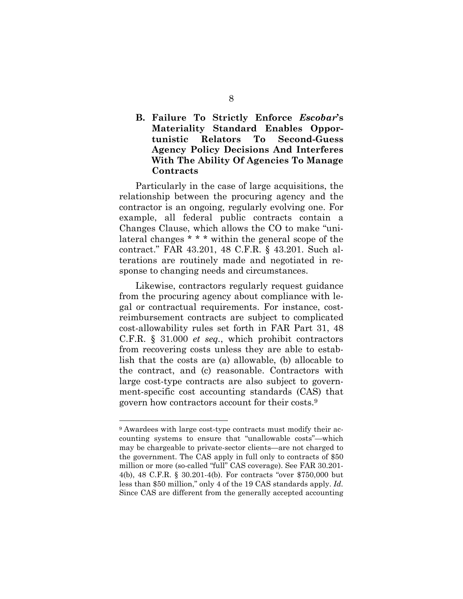#### <span id="page-13-0"></span>**B. Failure To Strictly Enforce** *Escobar***'s Materiality Standard Enables Opportunistic Relators To Second-Guess Agency Policy Decisions And Interferes With The Ability Of Agencies To Manage Contracts**

Particularly in the case of large acquisitions, the relationship between the procuring agency and the contractor is an ongoing, regularly evolving one. For example, all federal public contracts contain a Changes Clause, which allows the CO to make "unilateral changes \* \* \* within the general scope of the contract." FAR 43.201, 48 C.F.R. § 43.201. Such alterations are routinely made and negotiated in response to changing needs and circumstances.

Likewise, contractors regularly request guidance from the procuring agency about compliance with legal or contractual requirements. For instance, costreimbursement contracts are subject to complicated cost-allowability rules set forth in FAR Part 31, 48 C.F.R. § 31.000 *et seq.*, which prohibit contractors from recovering costs unless they are able to establish that the costs are (a) allowable, (b) allocable to the contract, and (c) reasonable. Contractors with large cost-type contracts are also subject to government-specific cost accounting standards (CAS) that govern how contractors account for their costs.[9](#page-13-1)

<span id="page-13-1"></span><sup>9</sup> Awardees with large cost-type contracts must modify their accounting systems to ensure that "unallowable costs"—which may be chargeable to private-sector clients—are not charged to the government. The CAS apply in full only to contracts of \$50 million or more (so-called "full" CAS coverage). See FAR 30.201- 4(b), 48 C.F.R. § 30.201-4(b). For contracts "over \$750,000 but less than \$50 million," only 4 of the 19 CAS standards apply. *Id.* Since CAS are different from the generally accepted accounting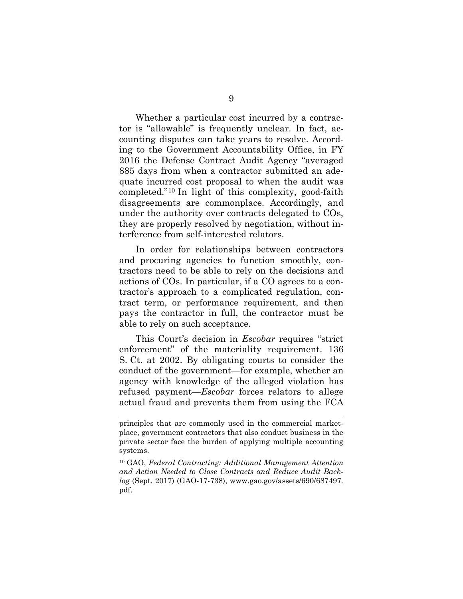Whether a particular cost incurred by a contractor is "allowable" is frequently unclear. In fact, accounting disputes can take years to resolve. According to the Government Accountability Office, in FY 2016 the Defense Contract Audit Agency "averaged 885 days from when a contractor submitted an adequate incurred cost proposal to when the audit was completed."[10](#page-14-0) In light of this complexity, good-faith disagreements are commonplace. Accordingly, and under the authority over contracts delegated to COs, they are properly resolved by negotiation, without interference from self-interested relators.

In order for relationships between contractors and procuring agencies to function smoothly, contractors need to be able to rely on the decisions and actions of COs. In particular, if a CO agrees to a contractor's approach to a complicated regulation, contract term, or performance requirement, and then pays the contractor in full, the contractor must be able to rely on such acceptance.

This Court's decision in *Escobar* requires "strict enforcement" of the materiality requirement. 136 S. Ct. at 2002. By obligating courts to consider the conduct of the government—for example, whether an agency with knowledge of the alleged violation has refused payment—*Escobar* forces relators to allege actual fraud and prevents them from using the FCA

principles that are commonly used in the commercial marketplace, government contractors that also conduct business in the private sector face the burden of applying multiple accounting systems.

<span id="page-14-0"></span><sup>10</sup> GAO, *Federal Contracting: Additional Management Attention and Action Needed to Close Contracts and Reduce Audit Backlog* (Sept. 2017) (GAO-17-738), www.gao.gov/assets/690/687497. pdf.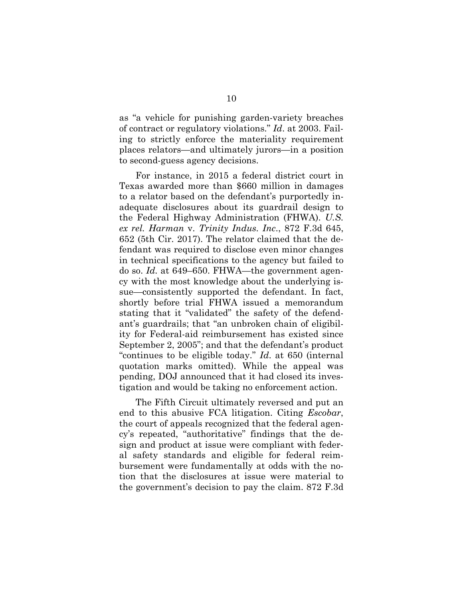as "a vehicle for punishing garden-variety breaches of contract or regulatory violations." *Id*. at 2003. Failing to strictly enforce the materiality requirement places relators—and ultimately jurors—in a position to second-guess agency decisions.

For instance, in 2015 a federal district court in Texas awarded more than \$660 million in damages to a relator based on the defendant's purportedly inadequate disclosures about its guardrail design to the Federal Highway Administration (FHWA). *U.S. ex rel. Harman* v. *Trinity Indus. Inc*., 872 F.3d 645, 652 (5th Cir. 2017). The relator claimed that the defendant was required to disclose even minor changes in technical specifications to the agency but failed to do so. *Id.* at 649–650. FHWA—the government agency with the most knowledge about the underlying issue—consistently supported the defendant. In fact, shortly before trial FHWA issued a memorandum stating that it "validated" the safety of the defendant's guardrails; that "an unbroken chain of eligibility for Federal-aid reimbursement has existed since September 2, 2005"; and that the defendant's product "continues to be eligible today." *Id*. at 650 (internal quotation marks omitted). While the appeal was pending, DOJ announced that it had closed its investigation and would be taking no enforcement action.

The Fifth Circuit ultimately reversed and put an end to this abusive FCA litigation. Citing *Escobar*, the court of appeals recognized that the federal agency's repeated, "authoritative" findings that the design and product at issue were compliant with federal safety standards and eligible for federal reimbursement were fundamentally at odds with the notion that the disclosures at issue were material to the government's decision to pay the claim. 872 F.3d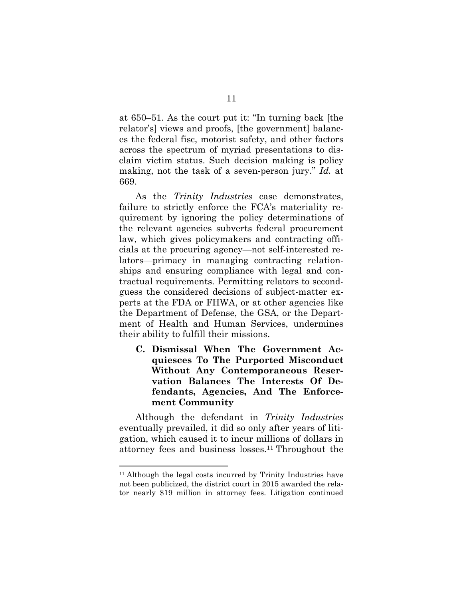at 650–51. As the court put it: "In turning back [the relator's] views and proofs, [the government] balances the federal fisc, motorist safety, and other factors across the spectrum of myriad presentations to disclaim victim status. Such decision making is policy making, not the task of a seven-person jury." *Id.* at 669.

As the *Trinity Industries* case demonstrates, failure to strictly enforce the FCA's materiality requirement by ignoring the policy determinations of the relevant agencies subverts federal procurement law, which gives policymakers and contracting officials at the procuring agency—not self-interested relators—primacy in managing contracting relationships and ensuring compliance with legal and contractual requirements. Permitting relators to secondguess the considered decisions of subject-matter experts at the FDA or FHWA, or at other agencies like the Department of Defense, the GSA, or the Department of Health and Human Services, undermines their ability to fulfill their missions.

<span id="page-16-0"></span>**C. Dismissal When The Government Acquiesces To The Purported Misconduct Without Any Contemporaneous Reservation Balances The Interests Of Defendants, Agencies, And The Enforcement Community**

Although the defendant in *Trinity Industries* eventually prevailed, it did so only after years of litigation, which caused it to incur millions of dollars in attorney fees and business losses.[11](#page-16-1) Throughout the

<span id="page-16-1"></span><sup>11</sup> Although the legal costs incurred by Trinity Industries have not been publicized, the district court in 2015 awarded the relator nearly \$19 million in attorney fees. Litigation continued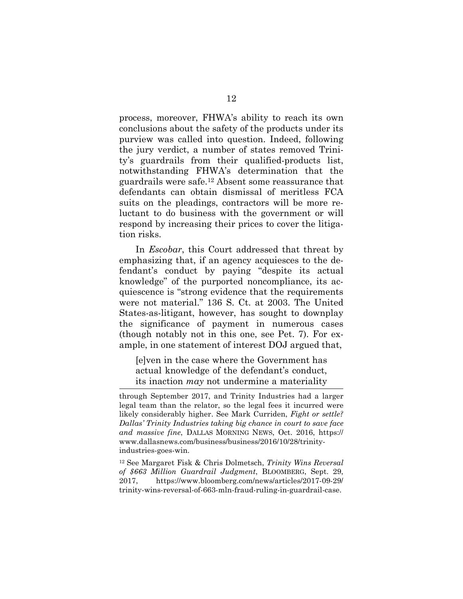process, moreover, FHWA's ability to reach its own conclusions about the safety of the products under its purview was called into question. Indeed, following the jury verdict, a number of states removed Trinity's guardrails from their qualified-products list, notwithstanding FHWA's determination that the guardrails were safe.[12](#page-17-0) Absent some reassurance that defendants can obtain dismissal of meritless FCA suits on the pleadings, contractors will be more reluctant to do business with the government or will respond by increasing their prices to cover the litigation risks.

In *Escobar*, this Court addressed that threat by emphasizing that, if an agency acquiesces to the defendant's conduct by paying "despite its actual knowledge" of the purported noncompliance, its acquiescence is "strong evidence that the requirements were not material." 136 S. Ct. at 2003. The United States-as-litigant, however, has sought to downplay the significance of payment in numerous cases (though notably not in this one, see Pet. 7). For example, in one statement of interest DOJ argued that,

[e]ven in the case where the Government has actual knowledge of the defendant's conduct, its inaction *may* not undermine a materiality

<span id="page-17-0"></span><sup>12</sup> See Margaret Fisk & Chris Dolmetsch, *Trinity Wins Reversal of \$663 Million Guardrail Judgment*, BLOOMBERG, Sept. 29, 2017, https://www.bloomberg.com/news/articles/2017-09-29/ trinity-wins-reversal-of-663-mln-fraud-ruling-in-guardrail-case.

through September 2017, and Trinity Industries had a larger legal team than the relator, so the legal fees it incurred were likely considerably higher. See Mark Curriden, *Fight or settle? Dallas' Trinity Industries taking big chance in court to save face and massive fine*, DALLAS MORNING NEWS, Oct. 2016, https:// www.dallasnews.com/business/business/2016/10/28/trinityindustries-goes-win.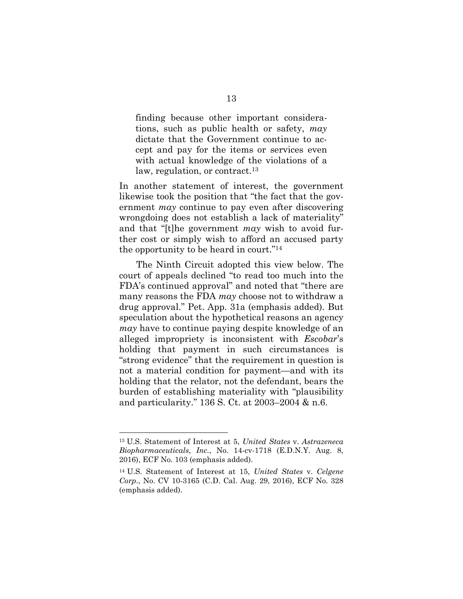finding because other important considerations, such as public health or safety, *may* dictate that the Government continue to accept and pay for the items or services even with actual knowledge of the violations of a law, regulation, or contract.<sup>[13](#page-18-0)</sup>

In another statement of interest, the government likewise took the position that "the fact that the government *may* continue to pay even after discovering wrongdoing does not establish a lack of materiality" and that "[t]he government *may* wish to avoid further cost or simply wish to afford an accused party the opportunity to be heard in court."[14](#page-18-1)

The Ninth Circuit adopted this view below. The court of appeals declined "to read too much into the FDA's continued approval" and noted that "there are many reasons the FDA *may* choose not to withdraw a drug approval." Pet. App. 31a (emphasis added). But speculation about the hypothetical reasons an agency *may* have to continue paying despite knowledge of an alleged impropriety is inconsistent with *Escobar*'s holding that payment in such circumstances is "strong evidence" that the requirement in question is not a material condition for payment—and with its holding that the relator, not the defendant, bears the burden of establishing materiality with "plausibility and particularity." 136 S. Ct. at 2003–2004 & n.6.

<span id="page-18-0"></span><sup>13</sup> U.S. Statement of Interest at 5, *United States* v. *Astrazeneca Biopharmaceuticals*, *Inc.*, No. 14-cv-1718 (E.D.N.Y. Aug. 8, 2016), ECF No. 103 (emphasis added).

<span id="page-18-1"></span><sup>14</sup> U.S. Statement of Interest at 15, *United States* v. *Celgene Corp*., No. CV 10-3165 (C.D. Cal. Aug. 29, 2016), ECF No. 328 (emphasis added).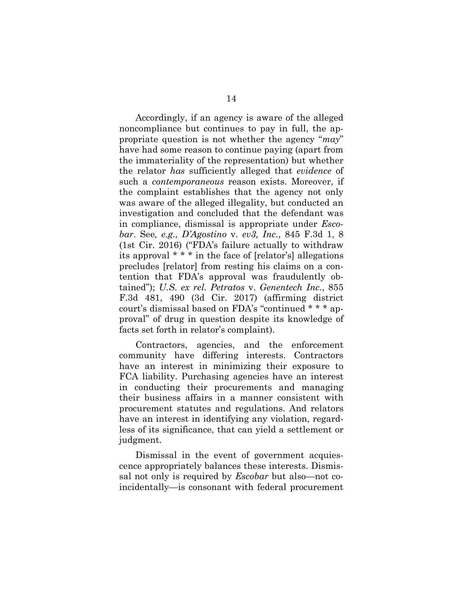Accordingly, if an agency is aware of the alleged noncompliance but continues to pay in full, the appropriate question is not whether the agency "*may*" have had some reason to continue paying (apart from the immateriality of the representation) but whether the relator *has* sufficiently alleged that *evidence* of such a *contemporaneous* reason exists. Moreover, if the complaint establishes that the agency not only was aware of the alleged illegality, but conducted an investigation and concluded that the defendant was in compliance, dismissal is appropriate under *Escobar*. See*, e.g., D'Agostino* v. *ev3, Inc*., 845 F.3d 1, 8 (1st Cir. 2016) ("FDA's failure actually to withdraw its approval \* \* \* in the face of [relator's] allegations precludes [relator] from resting his claims on a contention that FDA's approval was fraudulently obtained"); *U.S. ex rel. Petratos* v. *Genentech Inc.*, 855 F.3d 481, 490 (3d Cir. 2017) (affirming district court's dismissal based on FDA's "continued \* \* \* approval" of drug in question despite its knowledge of facts set forth in relator's complaint).

Contractors, agencies, and the enforcement community have differing interests. Contractors have an interest in minimizing their exposure to FCA liability. Purchasing agencies have an interest in conducting their procurements and managing their business affairs in a manner consistent with procurement statutes and regulations. And relators have an interest in identifying any violation, regardless of its significance, that can yield a settlement or judgment.

Dismissal in the event of government acquiescence appropriately balances these interests. Dismissal not only is required by *Escobar* but also—not coincidentally—is consonant with federal procurement